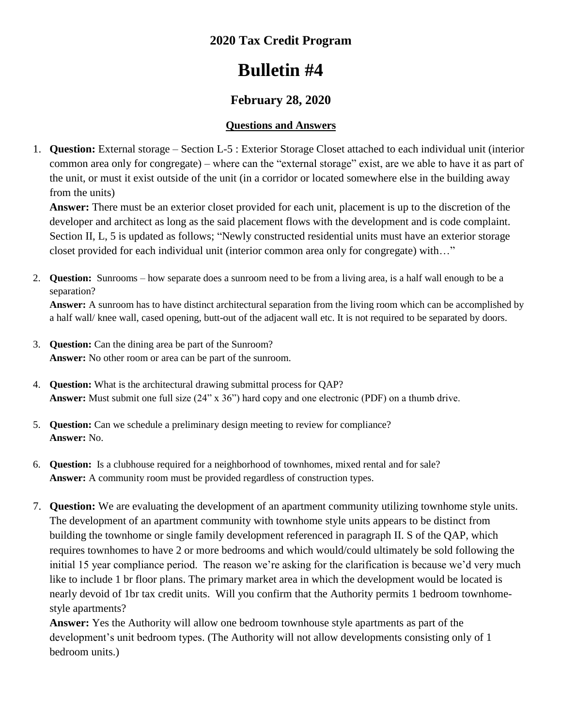## **2020 Tax Credit Program**

# **Bulletin #4**

## **February 28, 2020**

### **Questions and Answers**

1. **Question:** External storage – Section L-5 : Exterior Storage Closet attached to each individual unit (interior common area only for congregate) – where can the "external storage" exist, are we able to have it as part of the unit, or must it exist outside of the unit (in a corridor or located somewhere else in the building away from the units)

**Answer:** There must be an exterior closet provided for each unit, placement is up to the discretion of the developer and architect as long as the said placement flows with the development and is code complaint. Section II, L, 5 is updated as follows; "Newly constructed residential units must have an exterior storage closet provided for each individual unit (interior common area only for congregate) with…"

2. **Question:** Sunrooms – how separate does a sunroom need to be from a living area, is a half wall enough to be a separation?

**Answer:** A sunroom has to have distinct architectural separation from the living room which can be accomplished by a half wall/ knee wall, cased opening, butt-out of the adjacent wall etc. It is not required to be separated by doors.

- 3. **Question:** Can the dining area be part of the Sunroom? **Answer:** No other room or area can be part of the sunroom.
- 4. **Question:** What is the architectural drawing submittal process for QAP? **Answer:** Must submit one full size (24" x 36") hard copy and one electronic (PDF) on a thumb drive.
- 5. **Question:** Can we schedule a preliminary design meeting to review for compliance? **Answer:** No.
- 6. **Question:** Is a clubhouse required for a neighborhood of townhomes, mixed rental and for sale? **Answer:** A community room must be provided regardless of construction types.
- 7. **Question:** We are evaluating the development of an apartment community utilizing townhome style units. The development of an apartment community with townhome style units appears to be distinct from building the townhome or single family development referenced in paragraph II. S of the QAP, which requires townhomes to have 2 or more bedrooms and which would/could ultimately be sold following the initial 15 year compliance period. The reason we're asking for the clarification is because we'd very much like to include 1 br floor plans. The primary market area in which the development would be located is nearly devoid of 1br tax credit units. Will you confirm that the Authority permits 1 bedroom townhomestyle apartments?

**Answer:** Yes the Authority will allow one bedroom townhouse style apartments as part of the development's unit bedroom types. (The Authority will not allow developments consisting only of 1 bedroom units.)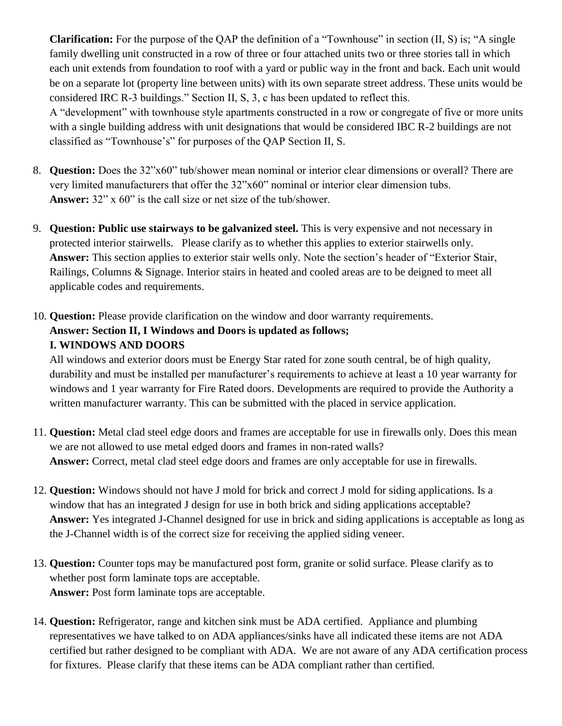**Clarification:** For the purpose of the QAP the definition of a "Townhouse" in section (II, S) is; "A single family dwelling unit constructed in a row of three or four attached units two or three stories tall in which each unit extends from foundation to roof with a yard or public way in the front and back. Each unit would be on a separate lot (property line between units) with its own separate street address. These units would be considered IRC R-3 buildings." Section II, S, 3, c has been updated to reflect this.

A "development" with townhouse style apartments constructed in a row or congregate of five or more units with a single building address with unit designations that would be considered IBC R-2 buildings are not classified as "Townhouse's" for purposes of the QAP Section II, S.

- 8. **Question:** Does the 32"x60" tub/shower mean nominal or interior clear dimensions or overall? There are very limited manufacturers that offer the 32"x60" nominal or interior clear dimension tubs. **Answer:** 32" x 60" is the call size or net size of the tub/shower.
- 9. **Question: Public use stairways to be galvanized steel.** This is very expensive and not necessary in protected interior stairwells. Please clarify as to whether this applies to exterior stairwells only. **Answer:** This section applies to exterior stair wells only. Note the section's header of "Exterior Stair, Railings, Columns & Signage. Interior stairs in heated and cooled areas are to be deigned to meet all applicable codes and requirements.
- 10. **Question:** Please provide clarification on the window and door warranty requirements. **Answer: Section II, I Windows and Doors is updated as follows; I. WINDOWS AND DOORS**

All windows and exterior doors must be Energy Star rated for zone south central, be of high quality, durability and must be installed per manufacturer's requirements to achieve at least a 10 year warranty for windows and 1 year warranty for Fire Rated doors. Developments are required to provide the Authority a written manufacturer warranty. This can be submitted with the placed in service application.

- 11. **Question:** Metal clad steel edge doors and frames are acceptable for use in firewalls only. Does this mean we are not allowed to use metal edged doors and frames in non-rated walls? **Answer:** Correct, metal clad steel edge doors and frames are only acceptable for use in firewalls.
- 12. **Question:** Windows should not have J mold for brick and correct J mold for siding applications. Is a window that has an integrated J design for use in both brick and siding applications acceptable? **Answer:** Yes integrated J-Channel designed for use in brick and siding applications is acceptable as long as the J-Channel width is of the correct size for receiving the applied siding veneer.
- 13. **Question:** Counter tops may be manufactured post form, granite or solid surface. Please clarify as to whether post form laminate tops are acceptable. **Answer:** Post form laminate tops are acceptable.
- 14. **Question:** Refrigerator, range and kitchen sink must be ADA certified. Appliance and plumbing representatives we have talked to on ADA appliances/sinks have all indicated these items are not ADA certified but rather designed to be compliant with ADA. We are not aware of any ADA certification process for fixtures. Please clarify that these items can be ADA compliant rather than certified.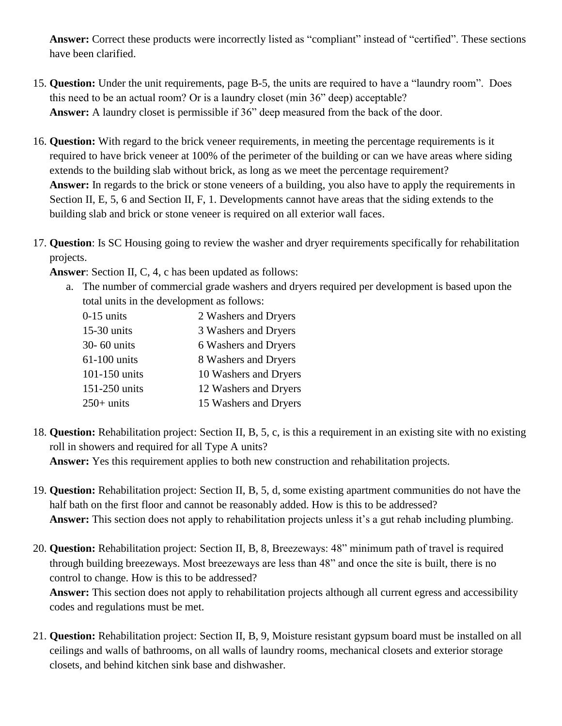**Answer:** Correct these products were incorrectly listed as "compliant" instead of "certified". These sections have been clarified.

- 15. **Question:** Under the unit requirements, page B-5, the units are required to have a "laundry room". Does this need to be an actual room? Or is a laundry closet (min 36" deep) acceptable? **Answer:** A laundry closet is permissible if 36" deep measured from the back of the door.
- 16. **Question:** With regard to the brick veneer requirements, in meeting the percentage requirements is it required to have brick veneer at 100% of the perimeter of the building or can we have areas where siding extends to the building slab without brick, as long as we meet the percentage requirement? **Answer:** In regards to the brick or stone veneers of a building, you also have to apply the requirements in Section II, E, 5, 6 and Section II, F, 1. Developments cannot have areas that the siding extends to the building slab and brick or stone veneer is required on all exterior wall faces.
- 17. **Question**: Is SC Housing going to review the washer and dryer requirements specifically for rehabilitation projects.

**Answer**: Section II, C, 4, c has been updated as follows:

a. The number of commercial grade washers and dryers required per development is based upon the total units in the development as follows:

| $0-15$ units  | 2 Washers and Dryers  |
|---------------|-----------------------|
| 15-30 units   | 3 Washers and Dryers  |
| 30- 60 units  | 6 Washers and Dryers  |
| 61-100 units  | 8 Washers and Dryers  |
| 101-150 units | 10 Washers and Dryers |
| 151-250 units | 12 Washers and Dryers |
| $250+$ units  | 15 Washers and Dryers |

- 18. **Question:** Rehabilitation project: Section II, B, 5, c, is this a requirement in an existing site with no existing roll in showers and required for all Type A units? **Answer:** Yes this requirement applies to both new construction and rehabilitation projects.
- 19. **Question:** Rehabilitation project: Section II, B, 5, d, some existing apartment communities do not have the half bath on the first floor and cannot be reasonably added. How is this to be addressed? **Answer:** This section does not apply to rehabilitation projects unless it's a gut rehab including plumbing.
- 20. **Question:** Rehabilitation project: Section II, B, 8, Breezeways: 48" minimum path of travel is required through building breezeways. Most breezeways are less than 48" and once the site is built, there is no control to change. How is this to be addressed? **Answer:** This section does not apply to rehabilitation projects although all current egress and accessibility codes and regulations must be met.
- 21. **Question:** Rehabilitation project: Section II, B, 9, Moisture resistant gypsum board must be installed on all ceilings and walls of bathrooms, on all walls of laundry rooms, mechanical closets and exterior storage closets, and behind kitchen sink base and dishwasher.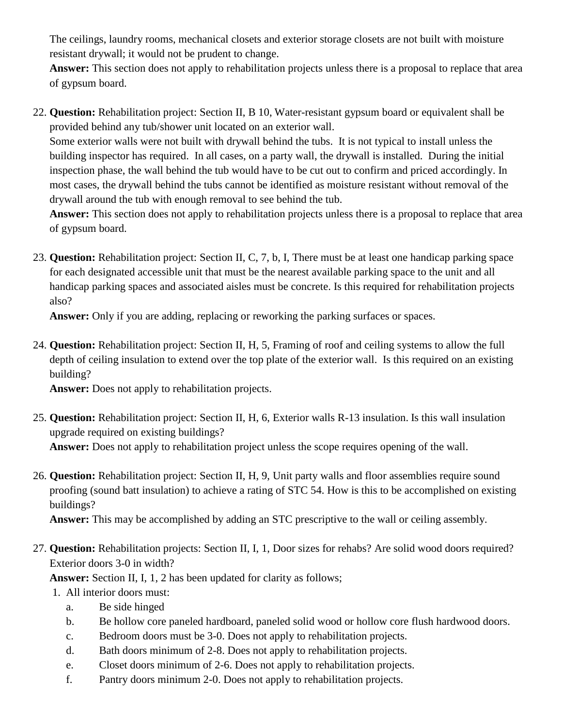The ceilings, laundry rooms, mechanical closets and exterior storage closets are not built with moisture resistant drywall; it would not be prudent to change.

**Answer:** This section does not apply to rehabilitation projects unless there is a proposal to replace that area of gypsum board.

22. **Question:** Rehabilitation project: Section II, B 10, Water-resistant gypsum board or equivalent shall be provided behind any tub/shower unit located on an exterior wall.

Some exterior walls were not built with drywall behind the tubs. It is not typical to install unless the building inspector has required. In all cases, on a party wall, the drywall is installed. During the initial inspection phase, the wall behind the tub would have to be cut out to confirm and priced accordingly. In most cases, the drywall behind the tubs cannot be identified as moisture resistant without removal of the drywall around the tub with enough removal to see behind the tub.

**Answer:** This section does not apply to rehabilitation projects unless there is a proposal to replace that area of gypsum board.

23. **Question:** Rehabilitation project: Section II, C, 7, b, I, There must be at least one handicap parking space for each designated accessible unit that must be the nearest available parking space to the unit and all handicap parking spaces and associated aisles must be concrete. Is this required for rehabilitation projects also?

**Answer:** Only if you are adding, replacing or reworking the parking surfaces or spaces.

24. **Question:** Rehabilitation project: Section II, H, 5, Framing of roof and ceiling systems to allow the full depth of ceiling insulation to extend over the top plate of the exterior wall. Is this required on an existing building?

**Answer:** Does not apply to rehabilitation projects.

- 25. **Question:** Rehabilitation project: Section II, H, 6, Exterior walls R-13 insulation. Is this wall insulation upgrade required on existing buildings? **Answer:** Does not apply to rehabilitation project unless the scope requires opening of the wall.
- 26. **Question:** Rehabilitation project: Section II, H, 9, Unit party walls and floor assemblies require sound proofing (sound batt insulation) to achieve a rating of STC 54. How is this to be accomplished on existing buildings?

**Answer:** This may be accomplished by adding an STC prescriptive to the wall or ceiling assembly.

27. **Question:** Rehabilitation projects: Section II, I, 1, Door sizes for rehabs? Are solid wood doors required? Exterior doors 3-0 in width?

**Answer:** Section II, I, 1, 2 has been updated for clarity as follows;

- 1. All interior doors must:
	- a. Be side hinged
	- b. Be hollow core paneled hardboard, paneled solid wood or hollow core flush hardwood doors.
	- c. Bedroom doors must be 3-0. Does not apply to rehabilitation projects.
	- d. Bath doors minimum of 2-8. Does not apply to rehabilitation projects.
	- e. Closet doors minimum of 2-6. Does not apply to rehabilitation projects.
	- f. Pantry doors minimum 2-0. Does not apply to rehabilitation projects.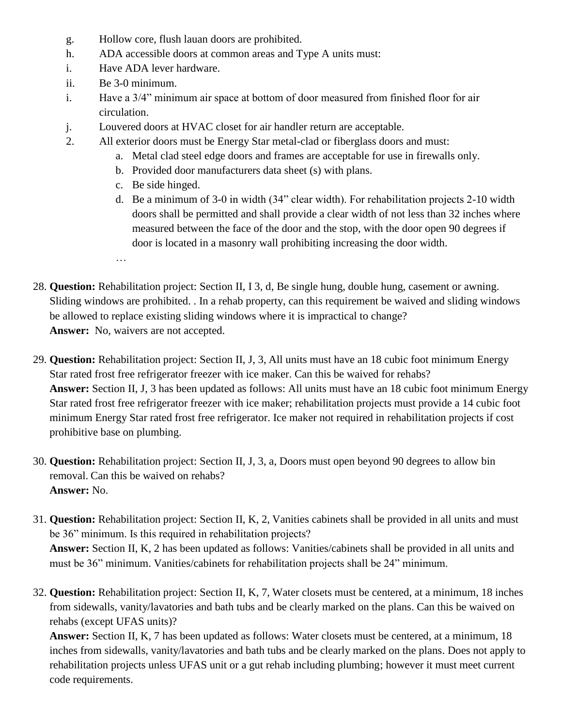- g. Hollow core, flush lauan doors are prohibited.
- h. ADA accessible doors at common areas and Type A units must:
- i. Have ADA lever hardware.
- ii. Be 3-0 minimum.
- i. Have a 3/4" minimum air space at bottom of door measured from finished floor for air circulation.
- j. Louvered doors at HVAC closet for air handler return are acceptable.
- 2. All exterior doors must be Energy Star metal-clad or fiberglass doors and must:
	- a. Metal clad steel edge doors and frames are acceptable for use in firewalls only.
	- b. Provided door manufacturers data sheet (s) with plans.
	- c. Be side hinged.
	- d. Be a minimum of 3-0 in width (34" clear width). For rehabilitation projects 2-10 width doors shall be permitted and shall provide a clear width of not less than 32 inches where measured between the face of the door and the stop, with the door open 90 degrees if door is located in a masonry wall prohibiting increasing the door width.
	- …
- 28. **Question:** Rehabilitation project: Section II, I 3, d, Be single hung, double hung, casement or awning. Sliding windows are prohibited. . In a rehab property, can this requirement be waived and sliding windows be allowed to replace existing sliding windows where it is impractical to change? **Answer:** No, waivers are not accepted.
- 29. **Question:** Rehabilitation project: Section II, J, 3, All units must have an 18 cubic foot minimum Energy Star rated frost free refrigerator freezer with ice maker. Can this be waived for rehabs? **Answer:** Section II, J, 3 has been updated as follows: All units must have an 18 cubic foot minimum Energy Star rated frost free refrigerator freezer with ice maker; rehabilitation projects must provide a 14 cubic foot minimum Energy Star rated frost free refrigerator. Ice maker not required in rehabilitation projects if cost prohibitive base on plumbing.
- 30. **Question:** Rehabilitation project: Section II, J, 3, a, Doors must open beyond 90 degrees to allow bin removal. Can this be waived on rehabs? **Answer:** No.
- 31. **Question:** Rehabilitation project: Section II, K, 2, Vanities cabinets shall be provided in all units and must be 36" minimum. Is this required in rehabilitation projects? **Answer:** Section II, K, 2 has been updated as follows: Vanities/cabinets shall be provided in all units and must be 36" minimum. Vanities/cabinets for rehabilitation projects shall be 24" minimum.
- 32. **Question:** Rehabilitation project: Section II, K, 7, Water closets must be centered, at a minimum, 18 inches from sidewalls, vanity/lavatories and bath tubs and be clearly marked on the plans. Can this be waived on rehabs (except UFAS units)?

**Answer:** Section II, K, 7 has been updated as follows: Water closets must be centered, at a minimum, 18 inches from sidewalls, vanity/lavatories and bath tubs and be clearly marked on the plans. Does not apply to rehabilitation projects unless UFAS unit or a gut rehab including plumbing; however it must meet current code requirements.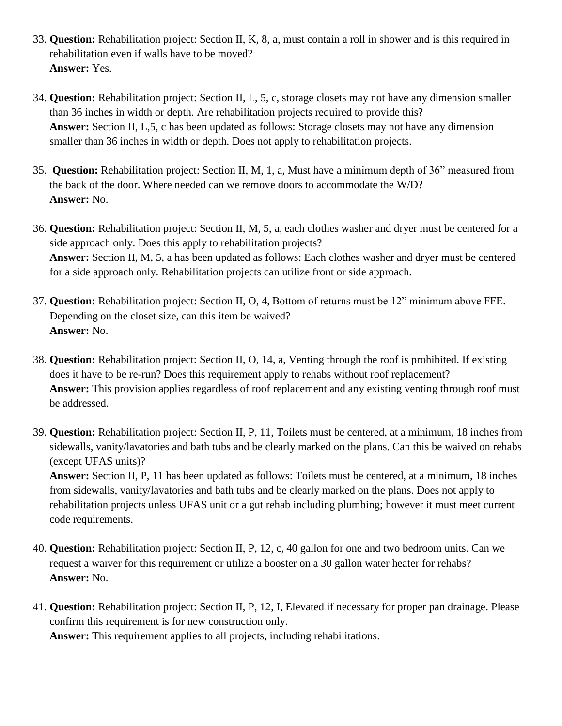- 33. **Question:** Rehabilitation project: Section II, K, 8, a, must contain a roll in shower and is this required in rehabilitation even if walls have to be moved? **Answer:** Yes.
- 34. **Question:** Rehabilitation project: Section II, L, 5, c, storage closets may not have any dimension smaller than 36 inches in width or depth. Are rehabilitation projects required to provide this? **Answer:** Section II, L,5, c has been updated as follows: Storage closets may not have any dimension smaller than 36 inches in width or depth. Does not apply to rehabilitation projects.
- 35. **Question:** Rehabilitation project: Section II, M, 1, a, Must have a minimum depth of 36" measured from the back of the door. Where needed can we remove doors to accommodate the W/D? **Answer:** No.
- 36. **Question:** Rehabilitation project: Section II, M, 5, a, each clothes washer and dryer must be centered for a side approach only. Does this apply to rehabilitation projects? **Answer:** Section II, M, 5, a has been updated as follows: Each clothes washer and dryer must be centered for a side approach only. Rehabilitation projects can utilize front or side approach.
- 37. **Question:** Rehabilitation project: Section II, O, 4, Bottom of returns must be 12" minimum above FFE. Depending on the closet size, can this item be waived? **Answer:** No.
- 38. **Question:** Rehabilitation project: Section II, O, 14, a, Venting through the roof is prohibited. If existing does it have to be re-run? Does this requirement apply to rehabs without roof replacement? **Answer:** This provision applies regardless of roof replacement and any existing venting through roof must be addressed.
- 39. **Question:** Rehabilitation project: Section II, P, 11, Toilets must be centered, at a minimum, 18 inches from sidewalls, vanity/lavatories and bath tubs and be clearly marked on the plans. Can this be waived on rehabs (except UFAS units)?

**Answer:** Section II, P, 11 has been updated as follows: Toilets must be centered, at a minimum, 18 inches from sidewalls, vanity/lavatories and bath tubs and be clearly marked on the plans. Does not apply to rehabilitation projects unless UFAS unit or a gut rehab including plumbing; however it must meet current code requirements.

- 40. **Question:** Rehabilitation project: Section II, P, 12, c, 40 gallon for one and two bedroom units. Can we request a waiver for this requirement or utilize a booster on a 30 gallon water heater for rehabs? **Answer:** No.
- 41. **Question:** Rehabilitation project: Section II, P, 12, I, Elevated if necessary for proper pan drainage. Please confirm this requirement is for new construction only. **Answer:** This requirement applies to all projects, including rehabilitations.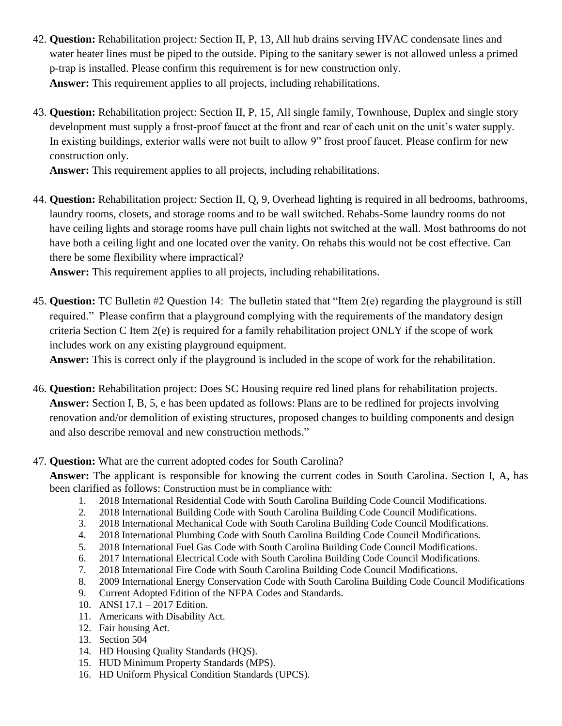- 42. **Question:** Rehabilitation project: Section II, P, 13, All hub drains serving HVAC condensate lines and water heater lines must be piped to the outside. Piping to the sanitary sewer is not allowed unless a primed p-trap is installed. Please confirm this requirement is for new construction only. **Answer:** This requirement applies to all projects, including rehabilitations.
- 43. **Question:** Rehabilitation project: Section II, P, 15, All single family, Townhouse, Duplex and single story development must supply a frost-proof faucet at the front and rear of each unit on the unit's water supply. In existing buildings, exterior walls were not built to allow 9" frost proof faucet. Please confirm for new construction only.

**Answer:** This requirement applies to all projects, including rehabilitations.

44. **Question:** Rehabilitation project: Section II, Q, 9, Overhead lighting is required in all bedrooms, bathrooms, laundry rooms, closets, and storage rooms and to be wall switched. Rehabs-Some laundry rooms do not have ceiling lights and storage rooms have pull chain lights not switched at the wall. Most bathrooms do not have both a ceiling light and one located over the vanity. On rehabs this would not be cost effective. Can there be some flexibility where impractical?

**Answer:** This requirement applies to all projects, including rehabilitations.

45. **Question:** TC Bulletin #2 Question 14: The bulletin stated that "Item 2(e) regarding the playground is still required." Please confirm that a playground complying with the requirements of the mandatory design criteria Section C Item 2(e) is required for a family rehabilitation project ONLY if the scope of work includes work on any existing playground equipment.

**Answer:** This is correct only if the playground is included in the scope of work for the rehabilitation.

46. **Question:** Rehabilitation project: Does SC Housing require red lined plans for rehabilitation projects. **Answer:** Section I, B, 5, e has been updated as follows: Plans are to be redlined for projects involving renovation and/or demolition of existing structures, proposed changes to building components and design and also describe removal and new construction methods."

#### 47. **Question:** What are the current adopted codes for South Carolina?

**Answer:** The applicant is responsible for knowing the current codes in South Carolina. Section I, A, has been clarified as follows: Construction must be in compliance with:

- 1. 2018 International Residential Code with South Carolina Building Code Council Modifications.
- 2. 2018 International Building Code with South Carolina Building Code Council Modifications.
- 3. 2018 International Mechanical Code with South Carolina Building Code Council Modifications.
- 4. 2018 International Plumbing Code with South Carolina Building Code Council Modifications.
- 5. 2018 International Fuel Gas Code with South Carolina Building Code Council Modifications.
- 6. 2017 International Electrical Code with South Carolina Building Code Council Modifications.
- 7. 2018 International Fire Code with South Carolina Building Code Council Modifications.
- 8. 2009 International Energy Conservation Code with South Carolina Building Code Council Modifications
- 9. Current Adopted Edition of the NFPA Codes and Standards.
- 10. ANSI 17.1 2017 Edition.
- 11. Americans with Disability Act.
- 12. Fair housing Act.
- 13. Section 504
- 14. HD Housing Quality Standards (HQS).
- 15. HUD Minimum Property Standards (MPS).
- 16. HD Uniform Physical Condition Standards (UPCS).